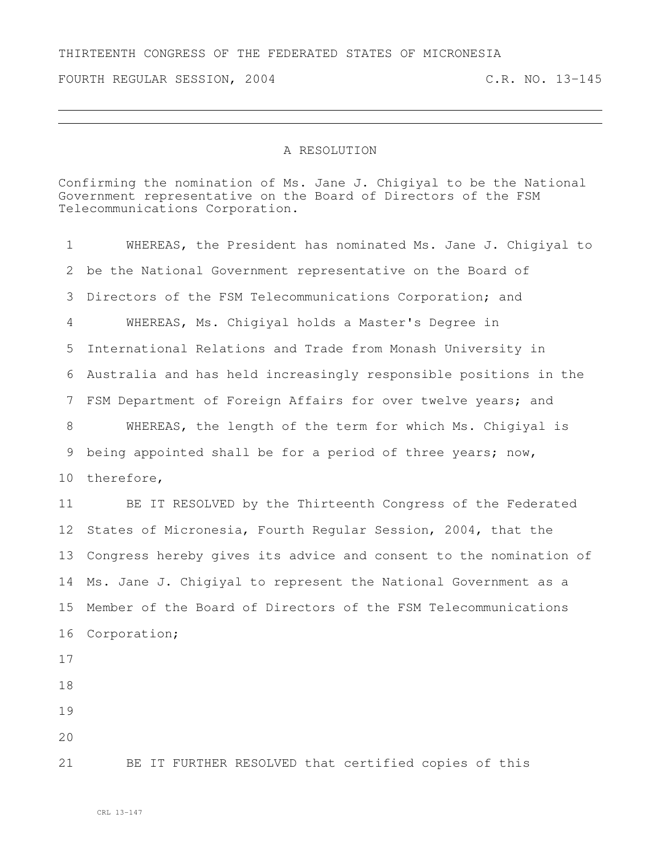## THIRTEENTH CONGRESS OF THE FEDERATED STATES OF MICRONESIA

FOURTH REGULAR SESSION, 2004 C.R. NO. 13-145

## A RESOLUTION

Confirming the nomination of Ms. Jane J. Chigiyal to be the National Government representative on the Board of Directors of the FSM Telecommunications Corporation.

 WHEREAS, the President has nominated Ms. Jane J. Chigiyal to be the National Government representative on the Board of Directors of the FSM Telecommunications Corporation; and WHEREAS, Ms. Chigiyal holds a Master's Degree in International Relations and Trade from Monash University in Australia and has held increasingly responsible positions in the FSM Department of Foreign Affairs for over twelve years; and WHEREAS, the length of the term for which Ms. Chigiyal is being appointed shall be for a period of three years; now, therefore, BE IT RESOLVED by the Thirteenth Congress of the Federated States of Micronesia, Fourth Regular Session, 2004, that the Congress hereby gives its advice and consent to the nomination of Ms. Jane J. Chigiyal to represent the National Government as a Member of the Board of Directors of the FSM Telecommunications Corporation; BE IT FURTHER RESOLVED that certified copies of this